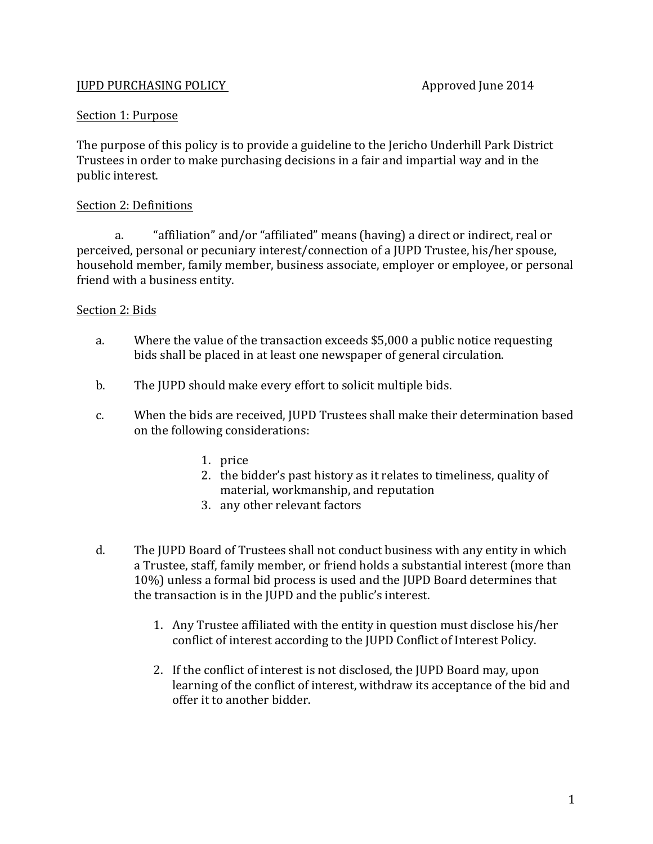# **JUPD PURCHASING POLICY Approved June 2014**

#### Section 1: Purpose

The purpose of this policy is to provide a guideline to the Jericho Underhill Park District Trustees in order to make purchasing decisions in a fair and impartial way and in the public interest.

#### Section 2: Definitions

a. "affiliation" and/or "affiliated" means (having) a direct or indirect, real or perceived, personal or pecuniary interest/connection of a JUPD Trustee, his/her spouse, household member, family member, business associate, employer or employee, or personal friend with a business entity.

# Section 2: Bids

- a. Where the value of the transaction exceeds \$5,000 a public notice requesting bids shall be placed in at least one newspaper of general circulation.
- b. The JUPD should make every effort to solicit multiple bids.
- c. When the bids are received, JUPD Trustees shall make their determination based on the following considerations:
	- 1. price
	- 2. the bidder's past history as it relates to timeliness, quality of material, workmanship, and reputation
	- 3. any other relevant factors
- d. The JUPD Board of Trustees shall not conduct business with any entity in which a Trustee, staff, family member, or friend holds a substantial interest (more than 10%) unless a formal bid process is used and the JUPD Board determines that the transaction is in the JUPD and the public's interest.
	- 1. Any Trustee affiliated with the entity in question must disclose his/her conflict of interest according to the JUPD Conflict of Interest Policy.
	- 2. If the conflict of interest is not disclosed, the JUPD Board may, upon learning of the conflict of interest, withdraw its acceptance of the bid and offer it to another bidder.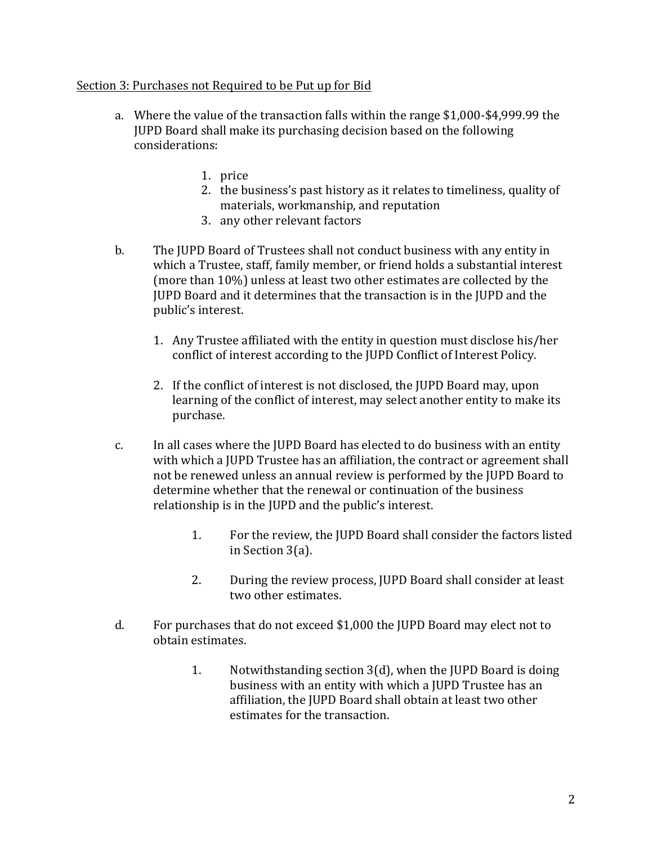# Section 3: Purchases not Required to be Put up for Bid

- a. Where the value of the transaction falls within the range \$1,000-\$4,999.99 the JUPD Board shall make its purchasing decision based on the following considerations:
	- 1. price
	- 2. the business's past history as it relates to timeliness, quality of materials, workmanship, and reputation
	- 3. any other relevant factors
- b. The JUPD Board of Trustees shall not conduct business with any entity in which a Trustee, staff, family member, or friend holds a substantial interest (more than  $10\%$ ) unless at least two other estimates are collected by the JUPD Board and it determines that the transaction is in the JUPD and the public's interest.
	- 1. Any Trustee affiliated with the entity in question must disclose his/her conflict of interest according to the JUPD Conflict of Interest Policy.
	- 2. If the conflict of interest is not disclosed, the JUPD Board may, upon learning of the conflict of interest, may select another entity to make its purchase.
- c. In all cases where the JUPD Board has elected to do business with an entity with which a JUPD Trustee has an affiliation, the contract or agreement shall not be renewed unless an annual review is performed by the JUPD Board to determine whether that the renewal or continuation of the business relationship is in the JUPD and the public's interest.
	- 1. For the review, the JUPD Board shall consider the factors listed in Section  $3(a)$ .
	- 2. During the review process, JUPD Board shall consider at least two other estimates.
- d. For purchases that do not exceed \$1,000 the JUPD Board may elect not to obtain estimates.
	- 1. Notwithstanding section  $3(d)$ , when the JUPD Board is doing business with an entity with which a JUPD Trustee has an affiliation, the JUPD Board shall obtain at least two other estimates for the transaction.